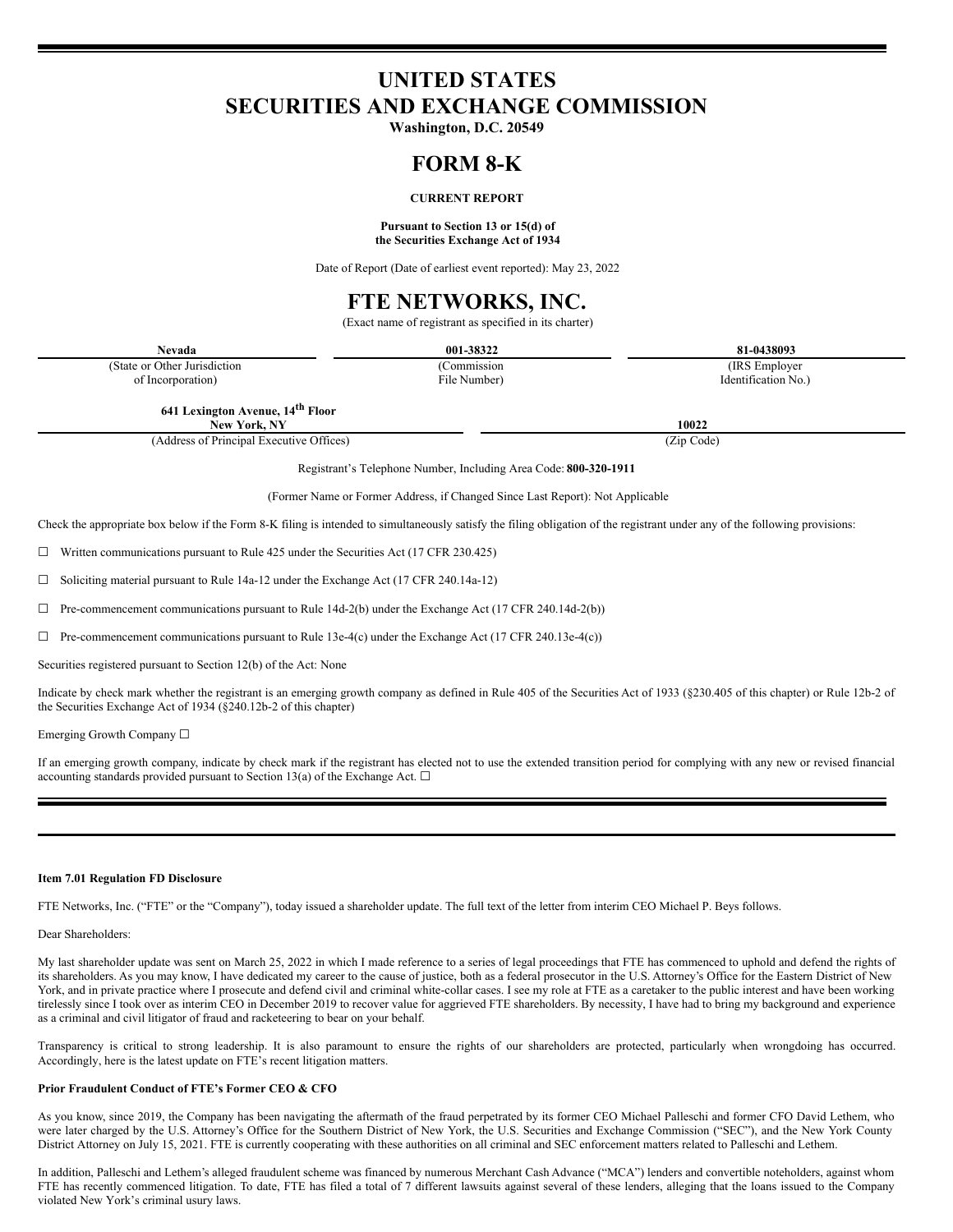## **UNITED STATES SECURITIES AND EXCHANGE COMMISSION**

**Washington, D.C. 20549**

### **FORM 8-K**

### **CURRENT REPORT**

#### **Pursuant to Section 13 or 15(d) of the Securities Exchange Act of 1934**

Date of Report (Date of earliest event reported): May 23, 2022

# **FTE NETWORKS, INC.**

(Exact name of registrant as specified in its charter)

|                                                                                                                                                   | $(2.001)$ hanne of registrant as specified in its enarier |                     |
|---------------------------------------------------------------------------------------------------------------------------------------------------|-----------------------------------------------------------|---------------------|
| Nevada                                                                                                                                            | 001-38322                                                 | 81-0438093          |
| (State or Other Jurisdiction                                                                                                                      | (Commission                                               | (IRS Employer)      |
| of Incorporation)                                                                                                                                 | File Number)                                              | Identification No.) |
| 641 Lexington Avenue, 14 <sup>th</sup> Floor<br>New York, NY                                                                                      |                                                           | 10022               |
| (Address of Principal Executive Offices)                                                                                                          |                                                           | (Zip Code)          |
| Registrant's Telephone Number, Including Area Code: 800-320-1911<br>(Former Name or Former Address, if Changed Since Last Report): Not Applicable |                                                           |                     |

Check the appropriate box below if the Form 8-K filing is intended to simultaneously satisfy the filing obligation of the registrant under any of the following provisions:

 $\Box$  Written communications pursuant to Rule 425 under the Securities Act (17 CFR 230.425)

☐ Soliciting material pursuant to Rule 14a-12 under the Exchange Act (17 CFR 240.14a-12)

 $\Box$  Pre-commencement communications pursuant to Rule 14d-2(b) under the Exchange Act (17 CFR 240.14d-2(b))

 $\Box$  Pre-commencement communications pursuant to Rule 13e-4(c) under the Exchange Act (17 CFR 240.13e-4(c))

Securities registered pursuant to Section 12(b) of the Act: None

Indicate by check mark whether the registrant is an emerging growth company as defined in Rule 405 of the Securities Act of 1933 (§230.405 of this chapter) or Rule 12b-2 of the Securities Exchange Act of 1934 (§240.12b-2 of this chapter)

Emerging Growth Company ☐

If an emerging growth company, indicate by check mark if the registrant has elected not to use the extended transition period for complying with any new or revised financial accounting standards provided pursuant to Section 13(a) of the Exchange Act.  $\Box$ 

#### **Item 7.01 Regulation FD Disclosure**

FTE Networks, Inc. ("FTE" or the "Company"), today issued a shareholder update. The full text of the letter from interim CEO Michael P. Beys follows.

#### Dear Shareholders:

My last shareholder update was sent on March 25, 2022 in which I made reference to a series of legal proceedings that FTE has commenced to uphold and defend the rights of its shareholders. As you may know, I have dedicated my career to the cause of justice, both as a federal prosecutor in the U.S. Attorney's Office for the Eastern District of New York, and in private practice where I prosecute and defend civil and criminal white-collar cases. I see my role at FTE as a caretaker to the public interest and have been working tirelessly since I took over as interim CEO in December 2019 to recover value for aggrieved FTE shareholders. By necessity, I have had to bring my background and experience as a criminal and civil litigator of fraud and racketeering to bear on your behalf.

Transparency is critical to strong leadership. It is also paramount to ensure the rights of our shareholders are protected, particularly when wrongdoing has occurred. Accordingly, here is the latest update on FTE's recent litigation matters.

#### **Prior Fraudulent Conduct of FTE's Former CEO & CFO**

As you know, since 2019, the Company has been navigating the aftermath of the fraud perpetrated by its former CEO Michael Palleschi and former CFO David Lethem, who were later charged by the U.S. Attorney's Office for the Southern District of New York, the U.S. Securities and Exchange Commission ("SEC"), and the New York County District Attorney on July 15, 2021. FTE is currently cooperating with these authorities on all criminal and SEC enforcement matters related to Palleschi and Lethem.

In addition, Palleschi and Lethem's alleged fraudulent scheme was financed by numerous Merchant Cash Advance ("MCA") lenders and convertible noteholders, against whom FTE has recently commenced litigation. To date, FTE has filed a total of 7 different lawsuits against several of these lenders, alleging that the loans issued to the Company violated New York's criminal usury laws.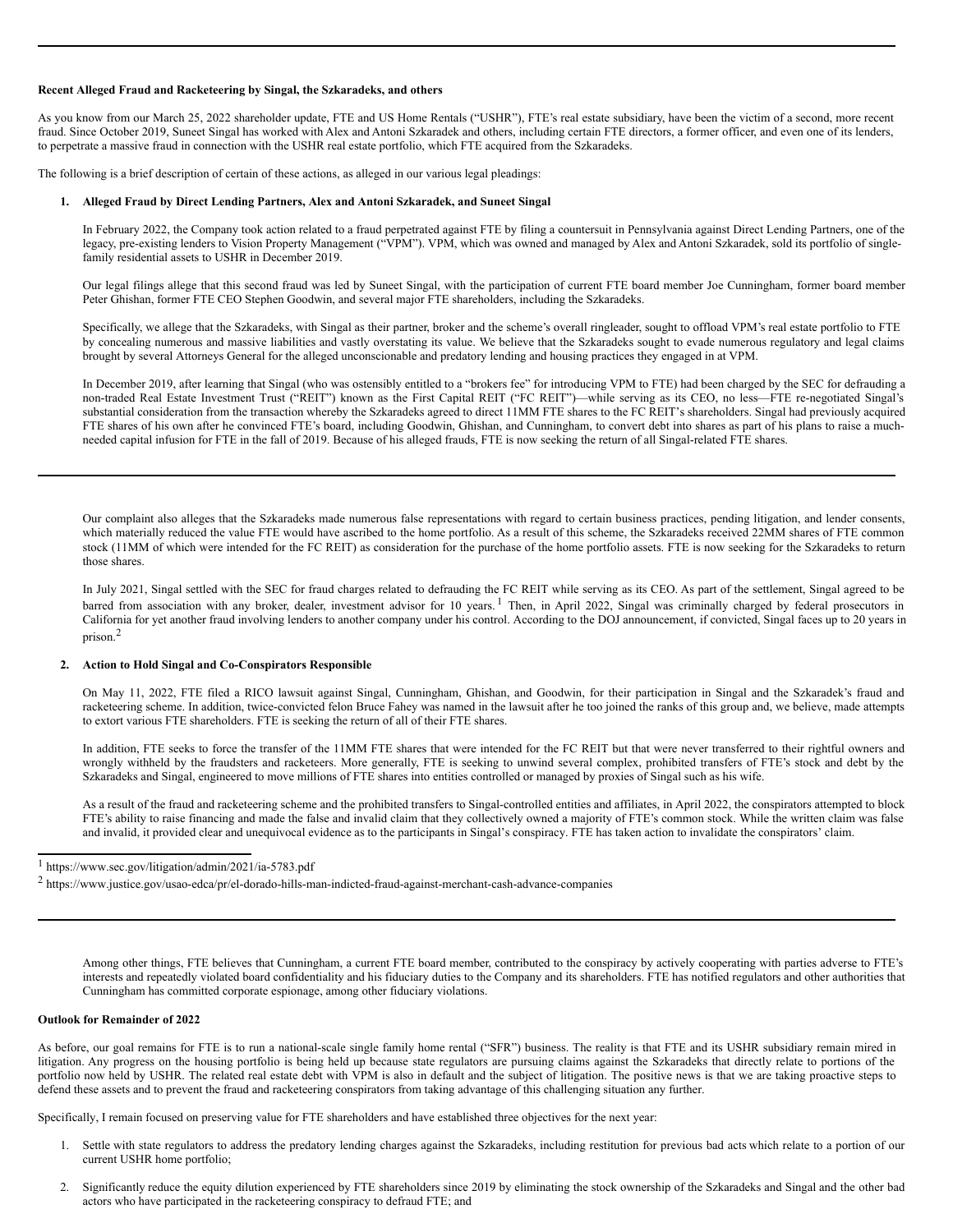#### **Recent Alleged Fraud and Racketeering by Singal, the Szkaradeks, and others**

As you know from our March 25, 2022 shareholder update, FTE and US Home Rentals ("USHR"), FTE's real estate subsidiary, have been the victim of a second, more recent fraud. Since October 2019, Suneet Singal has worked with Alex and Antoni Szkaradek and others, including certain FTE directors, a former officer, and even one of its lenders, to perpetrate a massive fraud in connection with the USHR real estate portfolio, which FTE acquired from the Szkaradeks.

The following is a brief description of certain of these actions, as alleged in our various legal pleadings:

#### **1. Alleged Fraud by Direct Lending Partners, Alex and Antoni Szkaradek, and Suneet Singal**

In February 2022, the Company took action related to a fraud perpetrated against FTE by filing a countersuit in Pennsylvania against Direct Lending Partners, one of the legacy, pre-existing lenders to Vision Property Management ("VPM"). VPM, which was owned and managed by Alex and Antoni Szkaradek, sold its portfolio of singlefamily residential assets to USHR in December 2019.

Our legal filings allege that this second fraud was led by Suneet Singal, with the participation of current FTE board member Joe Cunningham, former board member Peter Ghishan, former FTE CEO Stephen Goodwin, and several major FTE shareholders, including the Szkaradeks.

Specifically, we allege that the Szkaradeks, with Singal as their partner, broker and the scheme's overall ringleader, sought to offload VPM's real estate portfolio to FTE by concealing numerous and massive liabilities and vastly overstating its value. We believe that the Szkaradeks sought to evade numerous regulatory and legal claims brought by several Attorneys General for the alleged unconscionable and predatory lending and housing practices they engaged in at VPM.

In December 2019, after learning that Singal (who was ostensibly entitled to a "brokers fee" for introducing VPM to FTE) had been charged by the SEC for defrauding a non-traded Real Estate Investment Trust ("REIT") known as the First Capital REIT ("FC REIT")—while serving as its CEO, no less—FTE re-negotiated Singal's substantial consideration from the transaction whereby the Szkaradeks agreed to direct 11MM FTE shares to the FC REIT's shareholders. Singal had previously acquired FTE shares of his own after he convinced FTE's board, including Goodwin, Ghishan, and Cunningham, to convert debt into shares as part of his plans to raise a muchneeded capital infusion for FTE in the fall of 2019. Because of his alleged frauds, FTE is now seeking the return of all Singal-related FTE shares.

Our complaint also alleges that the Szkaradeks made numerous false representations with regard to certain business practices, pending litigation, and lender consents, which materially reduced the value FTE would have ascribed to the home portfolio. As a result of this scheme, the Szkaradeks received 22MM shares of FTE common stock (11MM of which were intended for the FC REIT) as consideration for the purchase of the home portfolio assets. FTE is now seeking for the Szkaradeks to return those shares.

In July 2021, Singal settled with the SEC for fraud charges related to defrauding the FC REIT while serving as its CEO. As part of the settlement, Singal agreed to be barred from association with any broker, dealer, investment advisor for 10 years.<sup>1</sup> Then, in April 2022, Singal was criminally charged by federal prosecutors in California for yet another fraud involving lenders to another company under his control. According to the DOJ announcement, if convicted, Singal faces up to 20 years in prison. 2

#### **2. Action to Hold Singal and Co-Conspirators Responsible**

On May 11, 2022, FTE filed a RICO lawsuit against Singal, Cunningham, Ghishan, and Goodwin, for their participation in Singal and the Szkaradek's fraud and racketeering scheme. In addition, twice-convicted felon Bruce Fahey was named in the lawsuit after he too joined the ranks of this group and, we believe, made attempts to extort various FTE shareholders. FTE is seeking the return of all of their FTE shares.

In addition, FTE seeks to force the transfer of the 11MM FTE shares that were intended for the FC REIT but that were never transferred to their rightful owners and wrongly withheld by the fraudsters and racketeers. More generally, FTE is seeking to unwind several complex, prohibited transfers of FTE's stock and debt by the Szkaradeks and Singal, engineered to move millions of FTE shares into entities controlled or managed by proxies of Singal such as his wife.

As a result of the fraud and racketeering scheme and the prohibited transfers to Singal-controlled entities and affiliates, in April 2022, the conspirators attempted to block FTE's ability to raise financing and made the false and invalid claim that they collectively owned a majority of FTE's common stock. While the written claim was false and invalid, it provided clear and unequivocal evidence as to the participants in Singal's conspiracy. FTE has taken action to invalidate the conspirators' claim.

Among other things, FTE believes that Cunningham, a current FTE board member, contributed to the conspiracy by actively cooperating with parties adverse to FTE's interests and repeatedly violated board confidentiality and his fiduciary duties to the Company and its shareholders. FTE has notified regulators and other authorities that Cunningham has committed corporate espionage, among other fiduciary violations.

#### **Outlook for Remainder of 2022**

As before, our goal remains for FTE is to run a national-scale single family home rental ("SFR") business. The reality is that FTE and its USHR subsidiary remain mired in litigation. Any progress on the housing portfolio is being held up because state regulators are pursuing claims against the Szkaradeks that directly relate to portions of the portfolio now held by USHR. The related real estate debt with VPM is also in default and the subject of litigation. The positive news is that we are taking proactive steps to defend these assets and to prevent the fraud and racketeering conspirators from taking advantage of this challenging situation any further.

Specifically, I remain focused on preserving value for FTE shareholders and have established three objectives for the next year:

- Settle with state regulators to address the predatory lending charges against the Szkaradeks, including restitution for previous bad acts which relate to a portion of our current USHR home portfolio;
- 2. Significantly reduce the equity dilution experienced by FTE shareholders since 2019 by eliminating the stock ownership of the Szkaradeks and Singal and the other bad actors who have participated in the racketeering conspiracy to defraud FTE; and

<sup>1</sup> https://www.sec.gov/litigation/admin/2021/ia-5783.pdf

<sup>2</sup> https://www.justice.gov/usao-edca/pr/el-dorado-hills-man-indicted-fraud-against-merchant-cash-advance-companies